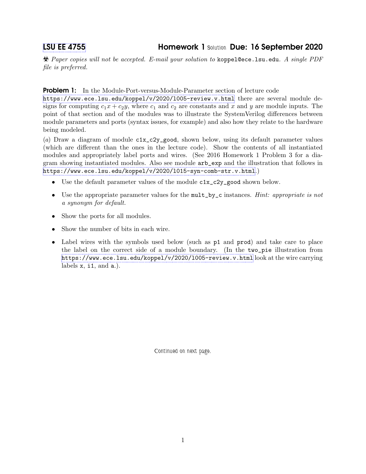[LSU EE 4755](https://www.ece.lsu.edu/koppel/v/) Homework 1 Solution Due: 16 September 2020

 $\&$  Paper copies will not be accepted. E-mail your solution to koppel@ece.lsu.edu. A single PDF file is preferred.

## **Problem 1:** In the Module-Port-versus-Module-Parameter section of lecture code

<https://www.ece.lsu.edu/koppel/v/2020/l005-review.v.html> there are several module designs for computing  $c_1x + c_2y$ , where  $c_1$  and  $c_2$  are constants and x and y are module inputs. The point of that section and of the modules was to illustrate the SystemVerilog differences between module parameters and ports (syntax issues, for example) and also how they relate to the hardware being modeled.

(a) Draw a diagram of module c1x\_c2y\_good, shown below, using its default parameter values (which are different than the ones in the lecture code). Show the contents of all instantiated modules and appropriately label ports and wires. (See 2016 Homework 1 Problem 3 for a diagram showing instantiated modules. Also see module arb\_exp and the illustration that follows in <https://www.ece.lsu.edu/koppel/v/2020/l015-syn-comb-str.v.html>.)

- Use the default parameter values of the module  $c1x_c2y_g$  good shown below.
- Use the appropriate parameter values for the mult\_by\_c instances. *Hint: appropriate is not* a synonym for default.
- Show the ports for all modules.
- Show the number of bits in each wire.
- Label wires with the symbols used below (such as p1 and prod) and take care to place the label on the correct side of a module boundary. (In the two\_pie illustration from <https://www.ece.lsu.edu/koppel/v/2020/l005-review.v.html> look at the wire carrying labels x, i1, and a.).

Continued on next page.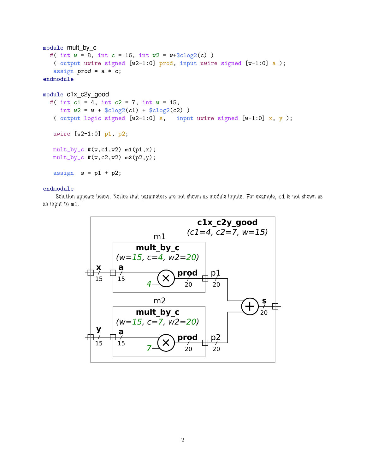```
module mult_by_c
  #( int w = 8, int c = 16, int w2 = w + \frac{6}{9} \log(2(c))( output uwire signed [w2-1:0] prod, input uwire signed [w-1:0] a );
   assign prod = a * c;
endmodule
module c1x_c2y_good
  #( int c1 = 4, int c2 = 7, int w = 15,
     int w2 = w + $c \log(2c1) + $c \log(2c2))
   ( output logic signed [w2-1:0] s, input uwire signed [w-1:0] x, y );
   uwire [w2-1:0] p1, p2;
   mult_{by_c} #(w, c1, w2) ml(p1, x);
   mult_by_c #(w,c2,w2) m2(p2,y);
   assign s = p1 + p2;
```
## endmodule

Solution appears below. Notice that parameters are not shown as module inputs. For example, c1 is not shown as an input to m1.

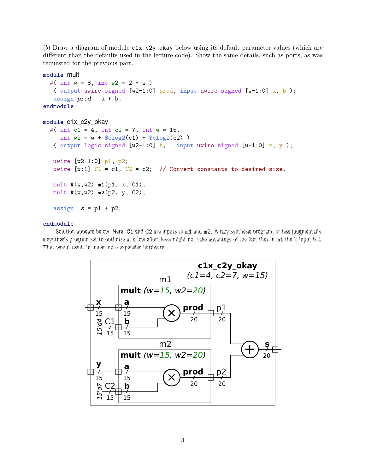(b) Draw a diagram of module c1x\_c2y\_okay below using its default parameter values (which are different than the defaults used in the lecture code). Show the same details, such as ports, as was requested for the previous part.

```
module mult
 #( int w = 8, int w = 2 * w)
   ( output uwire signed [w2-1:0] prod, input uwire signed [w-1:0] a, b );
   assign prod = a * b;
endmodule
module c1x_c2y_okay
  #( int c1 = 4, int c2 = 7, int w = 15,
     int w2 = w + $c \log(2c1) + $c \log(2c2)( output logic signed [w2-1:0] s, input uwire signed [w-1:0] x, y);
  uwire [w2-1:0] p1, p2;
  uwire [w:1] C1 = c1, C2 = c2; // Convert constants to desired size.
  mult #(w,w2) m1(p1, x, C1);
  mult #(w,w2) m2(p2, y, C2);
  assign s = p1 + p2;
```
## endmodule

Solution appears below. Here, C1 and C2 are inputs to m1 and m2. A lazy synthesis program, or less judgmentally, a synthesis program set to optimize at a low effort level might not take advantage of the fact that in m1 the b input is 4. That would result in much more expensive hardware.

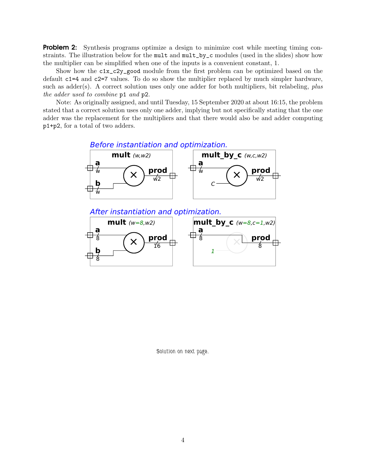**Problem 2:** Synthesis programs optimize a design to minimize cost while meeting timing constraints. The illustration below for the mult and mult\_by\_c modules (used in the slides) show how the multiplier can be simplified when one of the inputs is a convenient constant, 1.

Show how the c1x\_c2y\_good module from the first problem can be optimized based on the default c1=4 and c2=7 values. To do so show the multiplier replaced by much simpler hardware, such as adder(s). A correct solution uses only one adder for both multipliers, bit relabeling, plus the adder used to combine p1 and p2.

Note: As originally assigned, and until Tuesday, 15 September 2020 at about 16:15, the problem stated that a correct solution uses only one adder, implying but not specifically stating that the one adder was the replacement for the multipliers and that there would also be and adder computing p1+p2, for a total of two adders.

Before instantiation and optimization.

8



Solution on next page.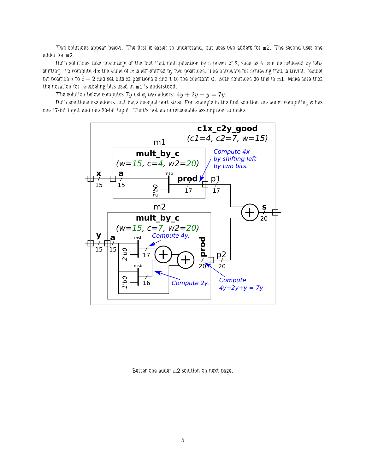Two solutions appear below. The first is easier to understand, but uses two adders for m2. The second uses one adder for m2.

Both solutions take advantage of the fact that multiplication by a power of 2, such as 4, can be achieved by leftshifting. To compute  $4x$  the value of  $x$  is left-shifted by two positions. The hardware for achieving that is trivial: relabel bit position  $i$  to  $i + 2$  and set bits at positions 0 and 1 to the constant 0. Both solutions do this in m1. Make sure that the notation for re-labeling bits used in m1 is understood.

The solution below computes  $7y$  using two adders:  $4y + 2y + y = 7y$ .

Both solutions use adders that have unequal port sizes. For example in the first solution the adder computing s has one 17-bit input and one 20-bit input. That's not an unreasonable assumption to make.



Better one-adder-m2 solution on next page.